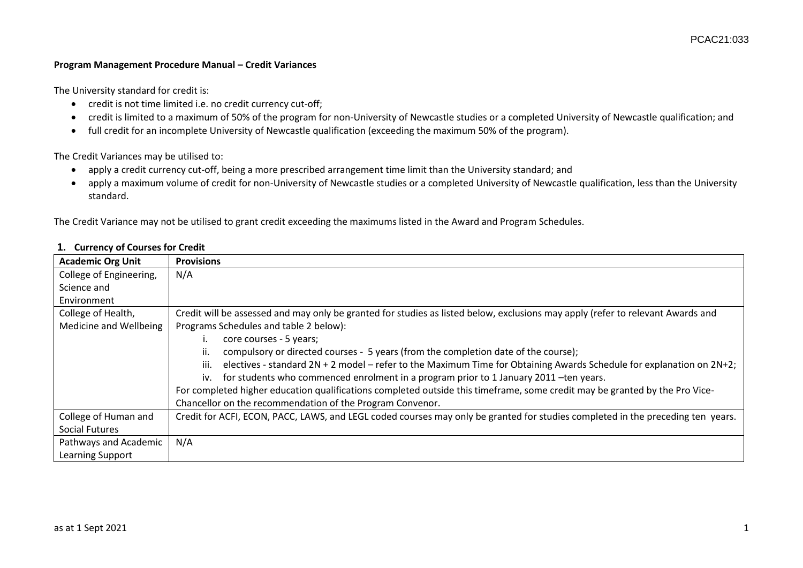## **Program Management Procedure Manual – Credit Variances**

The University standard for credit is:

- credit is not time limited i.e. no credit currency cut-off;
- credit is limited to a maximum of 50% of the program for non-University of Newcastle studies or a completed University of Newcastle qualification; and
- full credit for an incomplete University of Newcastle qualification (exceeding the maximum 50% of the program).

The Credit Variances may be utilised to:

- apply a credit currency cut-off, being a more prescribed arrangement time limit than the University standard; and
- apply a maximum volume of credit for non-University of Newcastle studies or a completed University of Newcastle qualification, less than the University standard.

The Credit Variance may not be utilised to grant credit exceeding the maximums listed in the Award and Program Schedules.

| <b>Academic Org Unit</b> | <b>Provisions</b>                                                                                                               |  |
|--------------------------|---------------------------------------------------------------------------------------------------------------------------------|--|
| College of Engineering,  | N/A                                                                                                                             |  |
| Science and              |                                                                                                                                 |  |
| Environment              |                                                                                                                                 |  |
| College of Health,       | Credit will be assessed and may only be granted for studies as listed below, exclusions may apply (refer to relevant Awards and |  |
| Medicine and Wellbeing   | Programs Schedules and table 2 below):                                                                                          |  |
|                          | core courses - 5 years;                                                                                                         |  |
|                          | ii.<br>compulsory or directed courses - 5 years (from the completion date of the course);                                       |  |
|                          | electives - standard 2N + 2 model - refer to the Maximum Time for Obtaining Awards Schedule for explanation on 2N+2;<br>iii.    |  |
|                          | for students who commenced enrolment in a program prior to 1 January 2011 - ten years.<br>iv.                                   |  |
|                          | For completed higher education qualifications completed outside this timeframe, some credit may be granted by the Pro Vice-     |  |
|                          | Chancellor on the recommendation of the Program Convenor.                                                                       |  |
| College of Human and     | Credit for ACFI, ECON, PACC, LAWS, and LEGL coded courses may only be granted for studies completed in the preceding ten years. |  |
| Social Futures           |                                                                                                                                 |  |
| Pathways and Academic    | N/A                                                                                                                             |  |
| Learning Support         |                                                                                                                                 |  |

## **1. Currency of Courses for Credit**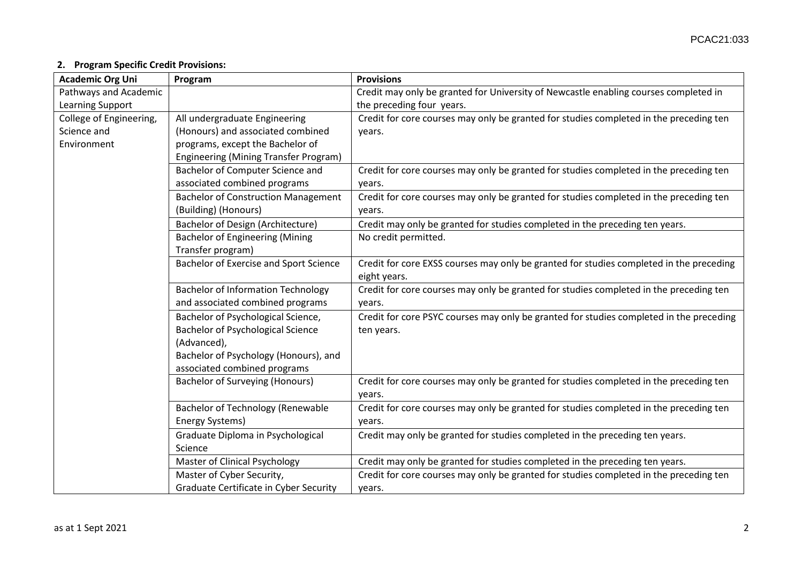## **2. Program Specific Credit Provisions:**

| <b>Academic Org Uni</b> | Program                                    | <b>Provisions</b>                                                                       |
|-------------------------|--------------------------------------------|-----------------------------------------------------------------------------------------|
| Pathways and Academic   |                                            | Credit may only be granted for University of Newcastle enabling courses completed in    |
| Learning Support        |                                            | the preceding four years.                                                               |
| College of Engineering, | All undergraduate Engineering              | Credit for core courses may only be granted for studies completed in the preceding ten  |
| Science and             | (Honours) and associated combined          | years.                                                                                  |
| Environment             | programs, except the Bachelor of           |                                                                                         |
|                         | Engineering (Mining Transfer Program)      |                                                                                         |
|                         | Bachelor of Computer Science and           | Credit for core courses may only be granted for studies completed in the preceding ten  |
|                         | associated combined programs               | years.                                                                                  |
|                         | <b>Bachelor of Construction Management</b> | Credit for core courses may only be granted for studies completed in the preceding ten  |
|                         | (Building) (Honours)                       | years.                                                                                  |
|                         | Bachelor of Design (Architecture)          | Credit may only be granted for studies completed in the preceding ten years.            |
|                         | <b>Bachelor of Engineering (Mining</b>     | No credit permitted.                                                                    |
|                         | Transfer program)                          |                                                                                         |
|                         | Bachelor of Exercise and Sport Science     | Credit for core EXSS courses may only be granted for studies completed in the preceding |
|                         |                                            | eight years.                                                                            |
|                         | <b>Bachelor of Information Technology</b>  | Credit for core courses may only be granted for studies completed in the preceding ten  |
|                         | and associated combined programs           | years.                                                                                  |
|                         | Bachelor of Psychological Science,         | Credit for core PSYC courses may only be granted for studies completed in the preceding |
|                         | <b>Bachelor of Psychological Science</b>   | ten years.                                                                              |
|                         | (Advanced),                                |                                                                                         |
|                         | Bachelor of Psychology (Honours), and      |                                                                                         |
|                         | associated combined programs               |                                                                                         |
|                         | <b>Bachelor of Surveying (Honours)</b>     | Credit for core courses may only be granted for studies completed in the preceding ten  |
|                         |                                            | years.                                                                                  |
|                         | <b>Bachelor of Technology (Renewable</b>   | Credit for core courses may only be granted for studies completed in the preceding ten  |
|                         | Energy Systems)                            | years.                                                                                  |
|                         | Graduate Diploma in Psychological          | Credit may only be granted for studies completed in the preceding ten years.            |
|                         | Science                                    |                                                                                         |
|                         | <b>Master of Clinical Psychology</b>       | Credit may only be granted for studies completed in the preceding ten years.            |
|                         | Master of Cyber Security,                  | Credit for core courses may only be granted for studies completed in the preceding ten  |
|                         | Graduate Certificate in Cyber Security     | years.                                                                                  |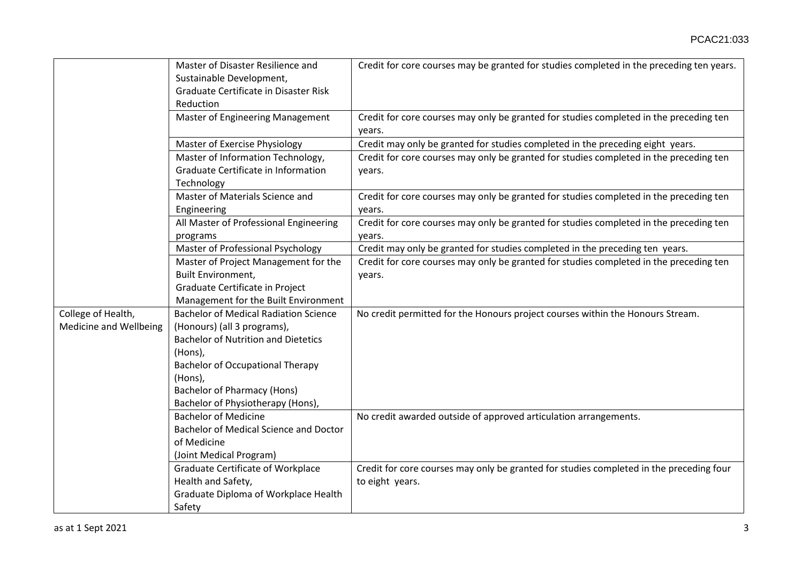|                                              | Master of Disaster Resilience and<br>Sustainable Development,<br>Graduate Certificate in Disaster Risk<br>Reduction                                                                                                                                                   | Credit for core courses may be granted for studies completed in the preceding ten years.                   |
|----------------------------------------------|-----------------------------------------------------------------------------------------------------------------------------------------------------------------------------------------------------------------------------------------------------------------------|------------------------------------------------------------------------------------------------------------|
|                                              | Master of Engineering Management                                                                                                                                                                                                                                      | Credit for core courses may only be granted for studies completed in the preceding ten<br>years.           |
|                                              | <b>Master of Exercise Physiology</b>                                                                                                                                                                                                                                  | Credit may only be granted for studies completed in the preceding eight years.                             |
|                                              | Master of Information Technology,<br>Graduate Certificate in Information<br>Technology                                                                                                                                                                                | Credit for core courses may only be granted for studies completed in the preceding ten<br>years.           |
|                                              | Master of Materials Science and<br>Engineering                                                                                                                                                                                                                        | Credit for core courses may only be granted for studies completed in the preceding ten<br>years.           |
|                                              | All Master of Professional Engineering<br>programs                                                                                                                                                                                                                    | Credit for core courses may only be granted for studies completed in the preceding ten<br>years.           |
|                                              | Master of Professional Psychology                                                                                                                                                                                                                                     | Credit may only be granted for studies completed in the preceding ten years.                               |
|                                              | Master of Project Management for the                                                                                                                                                                                                                                  | Credit for core courses may only be granted for studies completed in the preceding ten                     |
|                                              | <b>Built Environment,</b>                                                                                                                                                                                                                                             | years.                                                                                                     |
|                                              | Graduate Certificate in Project                                                                                                                                                                                                                                       |                                                                                                            |
|                                              | Management for the Built Environment                                                                                                                                                                                                                                  |                                                                                                            |
| College of Health,<br>Medicine and Wellbeing | <b>Bachelor of Medical Radiation Science</b><br>(Honours) (all 3 programs),<br><b>Bachelor of Nutrition and Dietetics</b><br>(Hons),<br><b>Bachelor of Occupational Therapy</b><br>(Hons),<br><b>Bachelor of Pharmacy (Hons)</b><br>Bachelor of Physiotherapy (Hons), | No credit permitted for the Honours project courses within the Honours Stream.                             |
|                                              | <b>Bachelor of Medicine</b><br>Bachelor of Medical Science and Doctor<br>of Medicine<br>(Joint Medical Program)                                                                                                                                                       | No credit awarded outside of approved articulation arrangements.                                           |
|                                              | <b>Graduate Certificate of Workplace</b><br>Health and Safety,<br>Graduate Diploma of Workplace Health<br>Safety                                                                                                                                                      | Credit for core courses may only be granted for studies completed in the preceding four<br>to eight years. |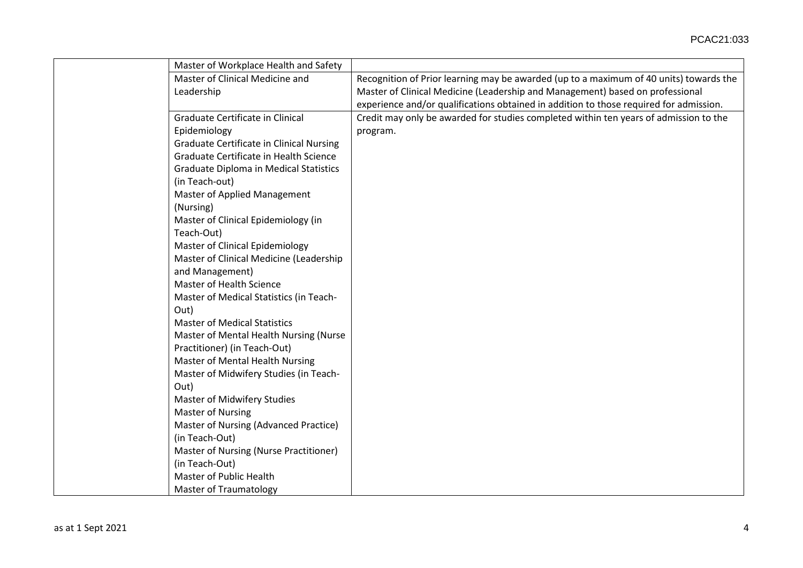| Master of Workplace Health and Safety           |                                                                                        |
|-------------------------------------------------|----------------------------------------------------------------------------------------|
| Master of Clinical Medicine and                 | Recognition of Prior learning may be awarded (up to a maximum of 40 units) towards the |
| Leadership                                      | Master of Clinical Medicine (Leadership and Management) based on professional          |
|                                                 | experience and/or qualifications obtained in addition to those required for admission. |
| Graduate Certificate in Clinical                | Credit may only be awarded for studies completed within ten years of admission to the  |
| Epidemiology                                    | program.                                                                               |
| <b>Graduate Certificate in Clinical Nursing</b> |                                                                                        |
| Graduate Certificate in Health Science          |                                                                                        |
| <b>Graduate Diploma in Medical Statistics</b>   |                                                                                        |
| (in Teach-out)                                  |                                                                                        |
| Master of Applied Management                    |                                                                                        |
| (Nursing)                                       |                                                                                        |
| Master of Clinical Epidemiology (in             |                                                                                        |
| Teach-Out)                                      |                                                                                        |
| <b>Master of Clinical Epidemiology</b>          |                                                                                        |
| Master of Clinical Medicine (Leadership         |                                                                                        |
| and Management)                                 |                                                                                        |
| Master of Health Science                        |                                                                                        |
| Master of Medical Statistics (in Teach-         |                                                                                        |
| Out)                                            |                                                                                        |
| <b>Master of Medical Statistics</b>             |                                                                                        |
| Master of Mental Health Nursing (Nurse          |                                                                                        |
| Practitioner) (in Teach-Out)                    |                                                                                        |
| Master of Mental Health Nursing                 |                                                                                        |
| Master of Midwifery Studies (in Teach-          |                                                                                        |
| Out)                                            |                                                                                        |
| Master of Midwifery Studies                     |                                                                                        |
| <b>Master of Nursing</b>                        |                                                                                        |
| Master of Nursing (Advanced Practice)           |                                                                                        |
| (in Teach-Out)                                  |                                                                                        |
| Master of Nursing (Nurse Practitioner)          |                                                                                        |
| (in Teach-Out)                                  |                                                                                        |
| Master of Public Health                         |                                                                                        |
| <b>Master of Traumatology</b>                   |                                                                                        |